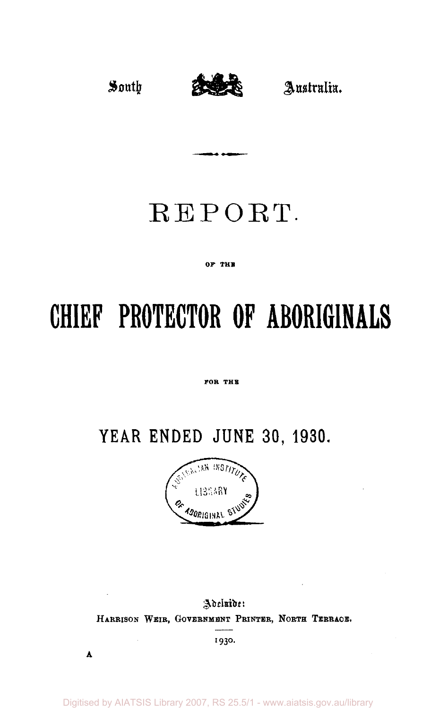

# REPORT.

#### **OF THE**

# **CHIEF PROTECTOR OF ABORIGINALS**

#### **FOR THE**

## **YEAR ENDED JUNE 30, 1930.**



### Adeluide: HARRISON WEIR, GOVERNMENT PRINTER, NORTH TERRACE.

1930.

 $\Lambda$ 

Digitised by AIATSIS Library 2007, RS 25.5/1 - www.aiatsis.gov.au/library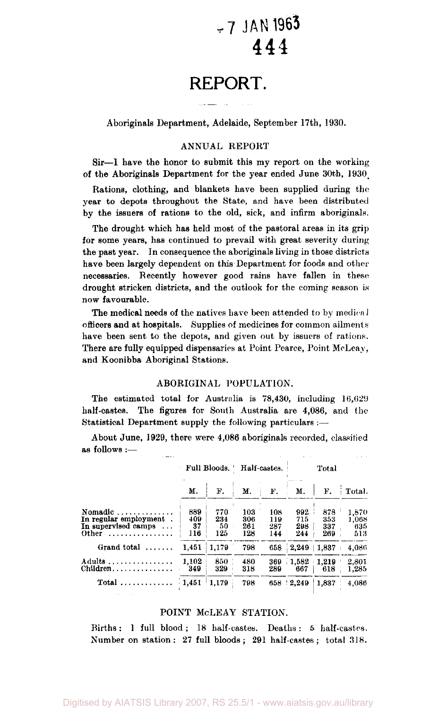## **-7 JAN 1965**  444

## **REPORT.**

Aboriginals Department, Adelaide, September 17th, 1930.

#### ANNUAL REPORT

Sir—1 have the honor to submit this my report on the working of the Aboriginals Department for the year ended June 30th, 1930\_

Rations, clothing, and blankets have been supplied during the year to depots throughout the State, and have been distributed by the issuers of rations to the old, sick, and infirm aboriginals.

The drought which has held most of the pastoral areas in its grip for some years, has continued to prevail with great severity during the past year. In consequence the aboriginals living in those districts have been largely dependent on this Department for foods and other necessaries. Recently however good rains have fallen in these drought stricken districts, and the outlook for the coming season is now favourable.

The medical needs of the natives have been attended to by medical officers and at hospitals. Supplies of medicines for common ailments have been sent to the depots, and given out by issuers of rations. There are fully equipped dispensaries at Point Pearce, Point McLeay, and Koonibba Aboriginal Stations.

#### ABORIGINAL POPULATION.

The estimated total for Australia is 78,430, including 16,629 half-castes. The figures for South Australia are 4,086, and the Statistical Department supply the following particulars :—

About June, 1929, there were 4,086 aboriginals recorded, classified as follows :—

|                                                                                                     |                         | Full Bloods.            | Half-castes.             |                          | Total                    |                          |                              |  |
|-----------------------------------------------------------------------------------------------------|-------------------------|-------------------------|--------------------------|--------------------------|--------------------------|--------------------------|------------------------------|--|
|                                                                                                     | М.                      | F.                      | M.                       | F.                       | М.                       | F.                       | Total.                       |  |
| Nomadic $\ldots$ , $\ldots$<br>In regular employment.<br>In supervised camps<br>Other<br>. <b>.</b> | 889<br>409<br>37<br>116 | 770<br>234<br>50<br>125 | 103<br>306<br>261<br>128 | 108<br>119<br>287<br>144 | 992<br>715<br>298<br>244 | 878<br>353<br>337<br>269 | 1,870<br>1.068<br>635<br>513 |  |
| Grand total<br>.                                                                                    | 1.451                   | 1,179                   | 798                      | 658                      | 2,249                    | 1.837                    | 4.086                        |  |
| Adults<br>$Children$                                                                                | 1.102<br>349            | 850<br>329              | 480<br>318               | 369<br>289               | 1,582<br>667             | 1,219<br>618             | 2.801<br>1,285               |  |
|                                                                                                     | 1,451                   | 1.179                   | 798                      | 658                      | 2.249                    | 1,837                    | 4.086                        |  |

#### POINT McLEAY STATION.

Births: 1 full blood; 18 half-castes. Deaths: 5 half-castes. Number on station: 27 full bloods; 291 half-castes; total 318.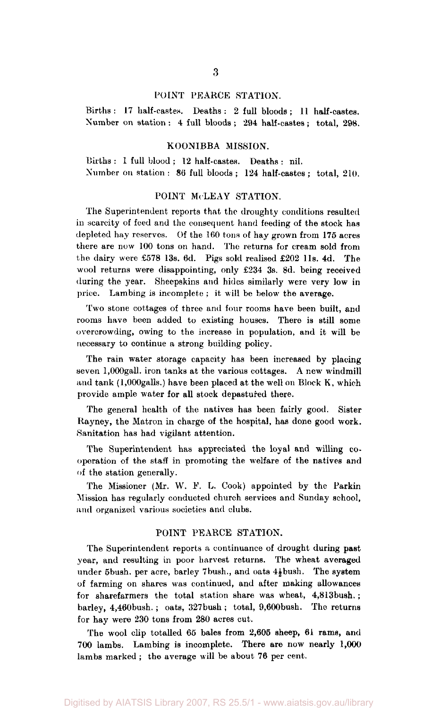#### POINT PEARCE STATION.

Births: 17 half-castes. Deaths: 2 full bloods; 11 half-castes. Number on station : 4 full bloods ; 294 half-castes ; total, 298.

#### KOONIBBA MISSION.

Births : 1 full blood ; 12 half-castes. Deaths : nil. Number on station : 86 full bloods ; 124 half-castes ; total, 210.

#### POINT MeLEAY STATION.

The Superintendent reports that the droughty conditions resulted in scarcity of feed and the consequent hand feeding of the stock has depleted hay reserves. Of the 160 tons of hay grown from 175 acres there are now 100 tons on hand. The returns for cream sold from the dairy were £578 13s. 6d. Pigs sold realised £202 l1s. 4d. The wool returns were disappointing, only £234 3s. 8d. being received during the year. Sheepskins and hides similarly were very low in price. Lambing is incomplete ; it will be below the average.

Two stone cottages of three and four rooms have been built, and rooms have been added to existing houses. There is still some overcrowding, owing to the increase in population, and it will be necessary to continue a strong building policy.

The rain water storage capacity has been increased by placing seven l,000gall. iron tanks at the various cottages. A new windmill and  $tank$  (1,000 galls.) have been placed at the well on Block K, which provide ample water for all stock depastured there.

The general health of the natives has been fairly good. Sister Rayney, the Matron in charge of the hospital, has done good work. Sanitation has had vigilant attention.

The Superintendent has appreciated the loyal and willing cooperation of the staff in promoting the welfare of the natives and of the station generally.

The Missioner (Mr. W. *V.* L. Cook) appointed by the Parkin Mission has regularly conducted church services and Sunday school, and organized various societies and clubs.

#### POINT PEARCE STATION.

The Superintendent reports a continuance of drought during past year, and resulting in poor harvest returns. The wheat averaged under 5bush. per acre, barley 7bush., and oats  $4\frac{1}{2}$  bush. The system of farming on shares was continued, and after making allowances for sharefarmers the total station share was wheat, 4,813bush. ; barley, 4,460bush. ; oats, 327bush ; total, 9,600bush. The returns for hay were 230 tons from 280 acres cut.

The wool clip totalled 65 bales from 2,605 sheep, 61 rams, and 700 lambs. Lambing is incomplete. There are now nearly 1,000 lambs marked ; the average will be about 76 per cent.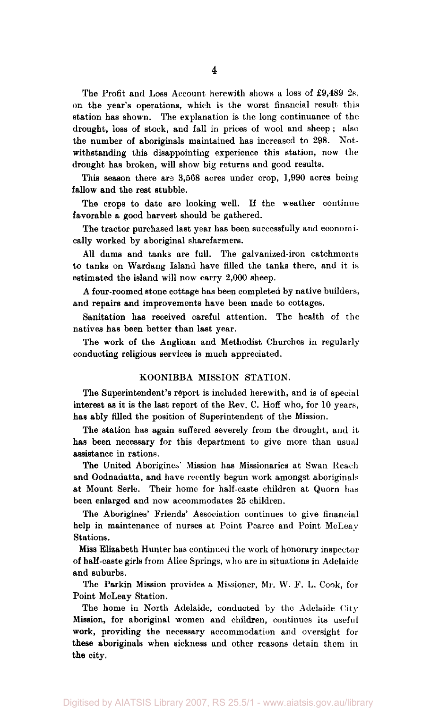The Profit and Loss Account herewith shows a loss of £9,489 2s. on the year's operations, which is the worst financial result this station has shown. The explanation is the long continuance of the drought, loss of stock, and fall in prices of wool and sheep ; also the number of aboriginals maintained has increased to 298. Notwithstanding this disappointing experience this station, now the drought has broken, will show big returns and good results.

This season there are 3,568 acres under crop, 1,990 acres being fallow and the rest stubble.

The crops to date are looking well. If the weather continue favorable a good harvest should be gathered.

The tractor purchased last year has been successfully and economically worked by aboriginal sharefarmers.

All dams and tanks are full. The galvanized-iron catchments to tanks on Wardang Island have filled the tanks there, and it is estimated the island will now carry 2,000 sheep.

A four-roomed stone cottage has been completed by native builders, and repairs and improvements have been made to cottages.

Sanitation has received careful attention. The health of the natives has been better than last year.

The work of the Anglican and Methodist Churches in regularly conducting religious services is much appreciated.

#### KOONIBBA MISSION STATION.

The Superintendent's report is included herewith, and is of special interest as it is the last report of the Rev. C. Hoff who, for 10 years, has ably filled the position of Superintendent of the Mission.

The station has again suffered severely from the drought, and it has been necessary for this department to give more than usual assistance in rations.

The United Aborigines' Mission has Missionaries at Swan Reach and Oodnadatta, and have recently begun work amongst aboriginals at Mount Serle. Their home for half-caste children at Quorn has been enlarged and now accommodates 25 children.

The Aborigines' Friends' Association continues to give financial help in maintenance of nurses at Point Pearce and Point McLeay Stations.

Miss Elizabeth Hunter has continued the work of honorary inspector of half-caste girls from Alice Springs, who are in situations in Adelaide and suburbs.

The Parkin Mission provides a Missioner, Mr. W. F. L. Cook, for Point McLeay Station.

The home in North Adelaide, conducted by the Adelaide City Mission, for aboriginal women and children, continues its useful work, providing the necessary accommodation and oversight for these aboriginals when sickness and other reasons detain them in the city.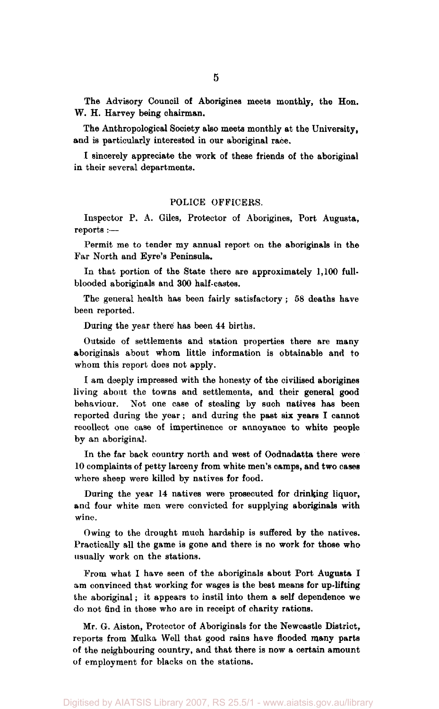The Advisory Council of Aborigines meets monthly, the Hon. W. H. Harvey being chairman.

The Anthropological Society also meets monthly at the University, and is particularly interested in our aboriginal race.

I sincerely appreciate the work of these friends of the aboriginal in their several departments.

#### POLICE OFFICERS.

Inspector P. A. Giles, Protector of Aborigines, Port Augusta, reports :—

Permit me to tender my annual report on the aboriginals in the Far North and Eyre's Peninsula.

In that portion of the State there are approximately 1,100 fullblooded aboriginals and 300 half-castes.

The general health has been fairly satisfactory; 58 deaths have been reported.

During the year there has been 44 births.

Outside of settlements and station properties there are many aboriginals about whom little information is obtainable and to whom this report does not apply.

I am deeply impressed with the honesty of the civilised aborigines living about the towns and settlements, and their general good behaviour. Not one case of stealing by such natives has been reported during the year; and during the past six years I cannot recollect one case of impertinence or annoyance to white people by an aboriginal.

In the far back country north and west of Oodnadatta there were 10 complaints of petty larceny from white men's camps, and two cases where sheep were killed by natives for food.

During the year 14 natives were prosecuted for drinking liquor, and four white men were convicted for supplying aboriginals with wine.

Owing to the drought much hardship is suffered by the natives. Practically all the game is gone and there is no work for those who usually work on the stations.

From what I have seen of the aboriginals about Port Augusta I am convinced that working for wages is the best means for up-lifting the aboriginal; it appears to instil into them a self dependence we do not find in those who are in receipt of charity rations.

Mr. G. Aiston, Protector of Aboriginals for the Newcastle District, reports from Mulka Well that good rains have flooded many parts of the neighbouring country, and that there is now a certain amount of employment for blacks on the stations.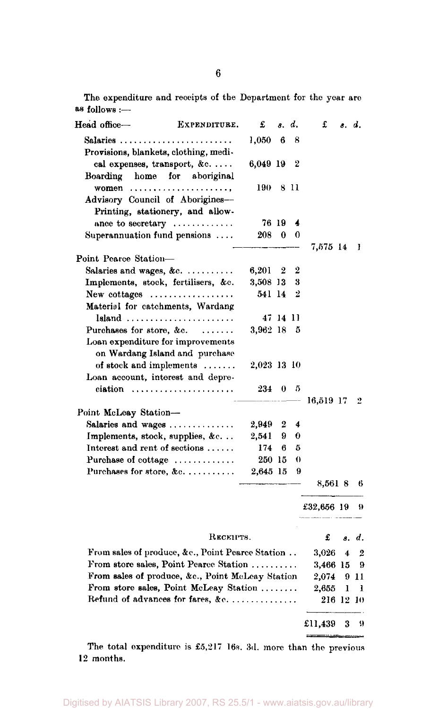The expenditure and receipts of the Department for the year are as follows :-

| Head office-                                  | EXPENDITURE.                                     | £           | δ.           | d.       | £          | s. d. |       |
|-----------------------------------------------|--------------------------------------------------|-------------|--------------|----------|------------|-------|-------|
| $Salaries \ldots \ldots \ldots$               |                                                  | 1,050       | 6            | 8        |            |       |       |
| Provisions, blankets, clothing, medi-         |                                                  |             |              |          |            |       |       |
|                                               | cal expenses, transport, &c                      | 6,049 19    |              | 2        |            |       |       |
| Boarding                                      | home for aboriginal                              |             |              |          |            |       |       |
|                                               | women $\dots\dots\dots\dots\dots\dots\dots\dots$ | 190         |              | 8 H      |            |       |       |
| Advisory Council of Aborigines-               |                                                  |             |              |          |            |       |       |
|                                               | Printing, stationery, and allow-                 |             |              |          |            |       |       |
|                                               | ance to secretary                                |             | 76 19        | 4        |            |       |       |
| Superannuation fund pensions                  |                                                  | 208         | - 0          | $\bf{0}$ |            |       |       |
| Point Pearce Station-                         |                                                  |             |              |          | 7,575 14   |       | ł     |
| Salaries and wages, &c.                       |                                                  | 6,201       | 2            | 2        |            |       |       |
| Implements, stock, fertilisers, &c.           |                                                  | 3,508 13    |              | 3        |            |       |       |
| New cottages $\dots\dots\dots\dots\dots\dots$ |                                                  | 541 14      |              | 2        |            |       |       |
| Material for catchments, Wardang              |                                                  |             |              |          |            |       |       |
|                                               | Island                                           |             | 47 14 11     |          |            |       |       |
| Purchases for store, &c. $\dots$              |                                                  | 3,962 18    |              | 5        |            |       |       |
|                                               | Loan expenditure for improvements                |             |              |          |            |       |       |
|                                               | on Wardang Island and purchase                   |             |              |          |            |       |       |
|                                               | of stock and implements                          | 2,023 13 10 |              |          |            |       |       |
|                                               | Loan account, interest and depre-                |             |              |          |            |       |       |
|                                               | ciation                                          | 234         | $\mathbf{0}$ | 5        |            |       | 2     |
| Point McLeay Station-                         |                                                  |             |              |          | 16,519 17  |       |       |
| Salaries and wages                            |                                                  | 2.949       | 2            | 4        |            |       |       |
| Implements, stock, supplies, &c               |                                                  | 2.541       | 9.           | 0        |            |       |       |
| Interest and rent of sections                 |                                                  | 174         | 6            | 5        |            |       |       |
| Purchase of cottage                           |                                                  | 250 15      |              | $\theta$ |            |       |       |
|                                               | Purchases for store, &c.                         | 2,645 15    |              | 9        |            |       |       |
|                                               |                                                  |             |              |          | 8,5618     |       | 6     |
|                                               |                                                  |             |              |          | £32,656 19 |       | 9     |
|                                               | RECEIPTS.                                        |             |              |          | £          |       | s. d. |
|                                               | From sales of produce, &c., Point Pearce Station |             |              |          | 3,026      | 4     | 2     |
|                                               | From store sales, Point Pearce Station           |             |              |          | 3,466 15   |       | 9     |
|                                               | From sales of produce, &c., Point McLeay Station |             |              |          | 2,074      |       | 9 11  |
|                                               | From store sales, Point McLeay Station           |             |              |          | 2,655      | ı     | ı     |
|                                               | Refund of advances for fares, &c.                |             |              |          | 216 12 10  |       |       |
|                                               |                                                  |             |              |          | £11,439    | 3     | 9     |

The total expenditure is £5,217 16s. 3d. more than the previous 12 months.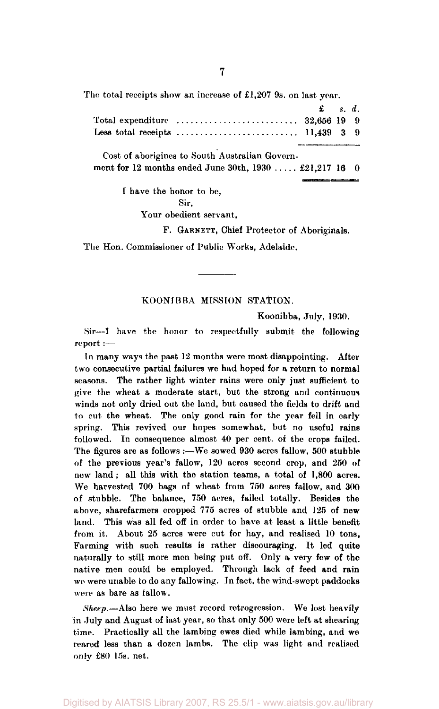The total receipts show an increase of £1,207 9s. on last year.

|                                                                                                | $\mathbf{f}$ $s. d.$ |  |
|------------------------------------------------------------------------------------------------|----------------------|--|
| Total expenditure $\ldots \ldots \ldots \ldots \ldots \ldots \ldots \ldots \ldots$ 32,656 19 9 |                      |  |
|                                                                                                |                      |  |

Cost of aborigines to South Australian Government for 12 months ended June 30th,  $1930$  ..... £21,217 16 0

I have the honor to be,

Sir,

Your obedient servant,

F. GARNETT, Chief Protector of Aboriginals.

The Hon. Commissioner of Public Works, Adelaide.

#### KOONJBBA MISSION STATION.

Koonibba, July, 1930.

Sir—I have the honor to respectfully submit the following report :—

In many ways the past 12 months were most disappointing. After two consecutive partial failures we had hoped for a return to normal seasons. The rather light winter rains were only just sufficient to give the wheat a moderate start, but the strong and continuous winds not only dried out the land, but caused the fields to drift and to cut the wheat. The only good rain for the year fell in early spring. This revived our hopes somewhat, but no useful rains followed. In consequence almost 40 per cent, of the crops failed. The figures are as follows :—We sowed 930 acres fallow, 500 stubble of the previous year's fallow, 120 acres second crop, and 250 of new land; all this with the station teams, a total of 1,800 acres. We harvested 700 bags of wheat from 750 acres fallow, and 300 of stubble. The balance, 750 acres, failed totally. Besides the above, sharefarmers cropped 775 acres of stubble and 125 of new land. This was all fed off in order to have at least a little benefit from it. About 25 acres were cut for hay, and realised 10 tons, Farming with such results is rather discouraging. It led quite naturally to still more men being put off. Only a very few of the native men could be employed. Through lack of feed and rain we were unable to do any fallowing. In fact, the wind-swept paddocks were as bare as fallow.

*Sheep.*—Also here we must record retrogression. We lost heavily in July and August of last year, so that only 500 were left at shearing time. Practically all the lambing ewes died while lambing, and we reared less than a dozen lambs. The clip was light and realised only £80 15s. net.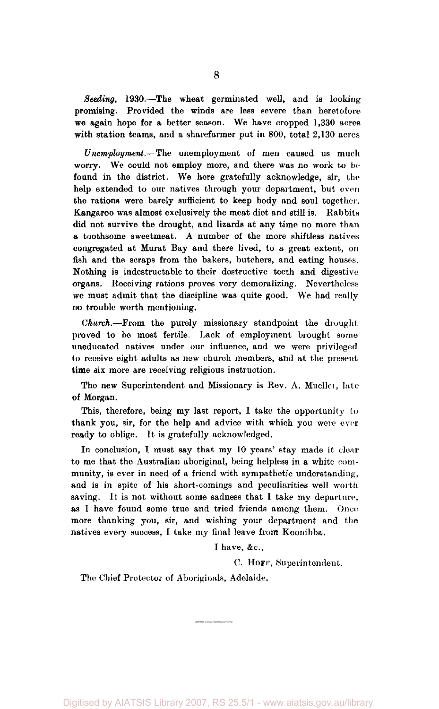*Seeding,* 1930.—The wheat germinated well, and is looking promising. Provided the winds are less severe than heretofore we again hope for a better season. We have cropped 1,330 acres with station teams, and a sharefarmer put in 800, total 2,130 acres

*Unemployment.*—The unemployment of men caused us much worry. We could not employ more, and there was no work to be found in the district. We here gratefully acknowledge, sir, the help extended to our natives through your department, but even the rations were barely sufficient to keep body and soul together. Kangaroo was almost exclusively the meat diet and still is. Rabbits did not survive the drought, and lizards at any time no more than a toothsome sweetmeat. A number of the more shiftless natives congregated at Murat Bay and there lived, to a great extent, on fish and the scraps from the bakers, butchers, and eating houses. Nothing is indestructable to their destructive teeth and digestive organs. Receiving rations proves very demoralizing. Nevertheless we must admit that the discipline was quite good. We had really no trouble worth mentioning.

*Church.*—From the purely missionary standpoint the drought proved to be most fertile. Lack of employment brought some uneducated natives under our influence, and we were privileged to receive eight adults as new church members, and at the present time six more are receiving religious instruction.

The new Superintendent and Missionary is Rev. A. Muellei, late of Morgan.

This, therefore, being my last report, 1 take the opportunity to thank you, sir, for the help and advice with which you were ever ready to oblige. It is gratefully acknowledged.

In conclusion, I must say that my 10 years' stay made it clear to me that the Australian aboriginal, being helpless in a white community, is ever in need of a friend with sympathetic understanding, and is in spite of his short-comings and peculiarities well worth saving. It is not without some sadness that I take my departure, as I have found some true and tried friends among them. Once more thanking you, sir, and wishing your department and the natives every success, I take my final leave from Koonibba.

I have, &c,

C. HOFF, Superintendent.

The Chief Protector of Aboriginals, Adelaide.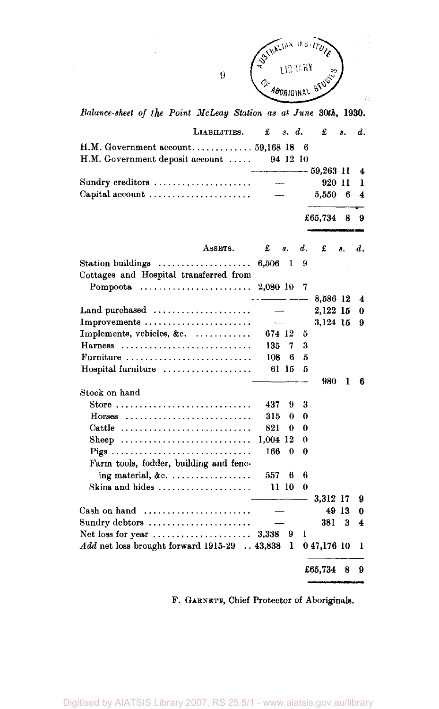

έý,

*Balance-sheet of the Point McLeay Station as at June* **30th, 1930.** 

 $\bar{9}$ 

| LIABILITIES.                                            | £          | s. d.        |               | £             | 8.    | d. |
|---------------------------------------------------------|------------|--------------|---------------|---------------|-------|----|
| H.M. Government deposit account                         |            |              | 6<br>94 12 10 |               |       |    |
|                                                         |            |              |               | $-$ 59,263 11 |       | 4  |
| Sundry creditors                                        |            |              |               | 920 11        |       | 1  |
| Capital account $\dots\dots\dots\dots\dots\dots\dots$   |            |              |               | 5,550         | 6     | 4  |
|                                                         |            |              |               | £65,734       | 8     | 9  |
| ASSETS.                                                 | £          | 8.           | d.            | £             | з.    | d. |
| Cottages and Hospital transferred from                  | 6,506      | $\mathbf{1}$ | 9             |               |       |    |
| Pompoota                                                | 2,080 10   |              | 7             |               |       |    |
|                                                         |            |              |               | 8,586 12      |       | 4  |
| Land purchased $\dots\dots\dots\dots\dots\dots\dots$    |            |              |               | 2,122 15      |       | 0  |
| Improvements                                            |            |              |               | 3,124 15      |       | 9  |
| Implements, vehicles, &c.                               | 674 12     |              | 5             |               |       |    |
| Harness                                                 | 135        | 7            | 3             |               |       |    |
| Furniture                                               | 108        | 6            | 5             |               |       |    |
| Hospital furniture                                      |            | 61 15        | 5             |               |       |    |
|                                                         |            |              |               | 980           | 1     | 6  |
| Stock on hand<br>Store                                  |            |              |               |               |       |    |
|                                                         | 437        | 9            | 3             |               |       |    |
| $Horses$                                                | 315        | 0            | 0             |               |       |    |
| Cattle                                                  | 821        | 0            | 0             |               |       |    |
| Sheep                                                   | $1,004$ 12 |              | 0             |               |       |    |
|                                                         | 166        | 0            | 0             |               |       |    |
| Farm tools, fodder, building and fenc-                  |            |              | 6             |               |       |    |
| ing material, &c.                                       | 557        | 6<br>11 10   | 0             |               |       |    |
| Skins and hides                                         |            |              |               | 3.312 17      |       |    |
|                                                         |            |              |               |               | 49 13 | 9  |
| Cash on hand $\ldots, \ldots, \ldots, \ldots, \ldots$   |            |              |               |               |       | 0  |
| Sundry debtors                                          |            | 9            | 1             | 381           | 3     | 4  |
| Net loss for year $\dots\dots\dots\dots\dots\dots\dots$ | 3,338      | ı            |               | 047,176 10    |       |    |
| $Add$ net loss brought forward 1915-29  43,838          |            |              |               |               |       | 1  |
|                                                         |            |              |               | £65,734       | 8     | 9  |

F. GARNETT, Chief Protector of Aboriginals.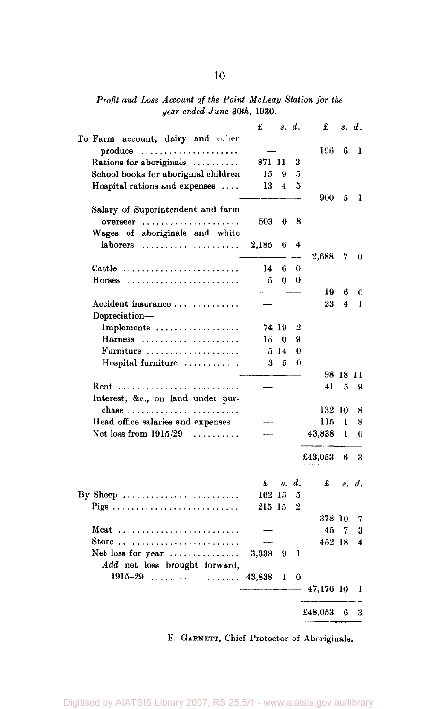*Profit and Loss Account of the Point McLeay Station for the year ended June 30th,* 1930.

|                                                            | £      |             | s. d.      | £.        |                | s. d.    |
|------------------------------------------------------------|--------|-------------|------------|-----------|----------------|----------|
| To Farm account, dairy and other                           |        |             |            |           |                |          |
| produce<br>. <b>.</b> .                                    |        |             |            | 196       | 6              | 1        |
| Rations for aboriginals                                    | 871 11 |             | 3          |           |                |          |
| School books for aboriginal children                       | 15     | 9           | 5          |           |                |          |
| Hospital rations and expenses                              | 13     | 4           | 5          |           |                |          |
|                                                            |        |             |            | 900       | 5              | 1        |
| Salary of Superintendent and farm                          |        |             |            |           |                |          |
| $overseer$                                                 | 503    | 0           | 8          |           |                |          |
| aboriginals and white<br>Wages of                          |        |             |            |           |                |          |
| laborers                                                   | 2,185  | 6           | 4          |           |                |          |
|                                                            |        |             |            | 2,688     | 7              | $\theta$ |
| Cattle $\ldots \ldots \ldots \ldots \ldots \ldots \ldots$  | 14     | 6           | $_{\odot}$ |           |                |          |
| Horses                                                     | 5      | 0           | 0          |           |                |          |
|                                                            |        |             |            | 19        | 6              | 0        |
| Accident insurance                                         |        |             |            | 23        | $\overline{4}$ | ı        |
| Depreciation-                                              |        |             |            |           |                |          |
| Implements $\dots\dots\dots\dots\dots\dots$                |        | 74 19       | 2          |           |                |          |
| $Harness$                                                  | 15     | 0           | 9          |           |                |          |
| Furniture                                                  | 5      | 14          | $\theta$   |           |                |          |
| Hospital furniture                                         | 3      | 5           | 0          |           |                |          |
|                                                            |        |             |            |           | 98 18 11       |          |
| Rent                                                       |        |             |            | 41        | 5              | 9        |
| Interest, &c., on land under pur-                          |        |             |            |           |                |          |
| chase                                                      |        |             |            | 132 10    |                | 8        |
| Head office salaries and expenses                          |        |             |            | 115       | ı              | 8        |
| Net loss from $1915/29$                                    |        |             |            | 43,838    | ı              | 0        |
|                                                            |        |             |            |           |                |          |
|                                                            |        |             |            | £43,053   | 6              | 3        |
|                                                            | £      | $s_{\star}$ | d.         | £         |                | s. d.    |
| By Sheep $\dots \dots \dots \dots \dots \dots \dots \dots$ | 162 15 |             | ő          |           |                |          |
|                                                            | 215 15 |             | 2          |           |                |          |
|                                                            |        |             |            | 378 10    |                | 7        |
| Meat                                                       |        |             |            | 45        | 7              | 3        |
| Store                                                      |        |             |            | 452 18    |                | 4        |
| Net loss for year                                          | 3,338  | 9           | ı          |           |                |          |
| Add net loss brought forward,                              |        |             |            |           |                |          |
| $1915 - 29$                                                | 43,838 | 1           | 0          |           |                |          |
|                                                            |        |             |            | 47,176 10 |                | 1        |
|                                                            |        |             |            |           |                |          |
|                                                            |        |             |            | £48,053   | 6              | 3        |
|                                                            |        |             |            |           |                |          |

F. GARNETT, Chief Protector of Aboriginals.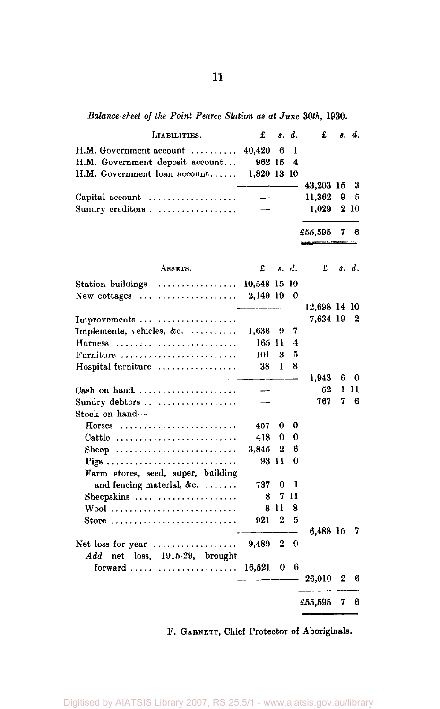*Balance-sheet of the Point Pearce Station as at June 30th,* 1930.

| LIABILITIES.                                                    | £            |          | s. d. | £            |   | s. d.    |
|-----------------------------------------------------------------|--------------|----------|-------|--------------|---|----------|
| $H.M. Gover$ ment account $\ldots \ldots$                       | 40,420       | 6        | 1     |              |   |          |
| H.M. Government deposit account                                 | 962 15       |          | 4     |              |   |          |
| H.M. Government loan account                                    | 1,820 13 10  |          |       |              |   |          |
|                                                                 |              |          |       | 43,203 15    |   | 3        |
| Capital account                                                 |              |          |       | 11,362       | 9 | 5        |
| Sundry creditors                                                |              |          |       | 1,029        | 2 | -10      |
|                                                                 |              |          |       | £55,595      | 7 | 6        |
| ASSETS.                                                         | £            |          | s. d. | £            |   | s. d.    |
| Station buildings                                               | 10,548 15 10 |          |       |              |   |          |
| New cottages $\dots\dots\dots\dots\dots\dots\dots$              | 2,149 19     |          | 0     |              |   |          |
|                                                                 |              |          |       | 12,698 14 10 |   |          |
| Improvements                                                    | ----         |          |       | 7,634 19     |   | 2        |
| Implements, vehicles, &c.                                       | 1,638        | 9        | 7     |              |   |          |
| <b>Harness</b>                                                  | 165-11       |          | 4     |              |   |          |
| Furniture $\ldots \ldots \ldots \ldots \ldots \ldots$           | 101          | 3        | 5     |              |   |          |
| Hospital furniture                                              | 38           | L        | 8     |              |   |          |
|                                                                 |              |          |       | 1.943        | 6 | $\bf{0}$ |
| Cash on hand $\ldots \ldots \ldots \ldots \ldots \ldots$        |              |          |       | 52           | ı | -11      |
| Sundry debtors                                                  |              |          |       | 767          | 7 | 6        |
| Stock on hand-                                                  |              |          |       |              |   |          |
| $H$ orses                                                       | 457          | 0        | 0     |              |   |          |
| $\text{Cattle}$ ,,,,,,,,,,,,,,,,,,,,,,,,,,,,                    | 418          | 0        | 0     |              |   |          |
| Sheep                                                           | 3,845        | 2        | 6     |              |   |          |
|                                                                 | 93 11        |          | 0     |              |   |          |
| Farm stores, seed, super, building                              |              |          |       |              |   |          |
| and fencing material, &c.                                       | 737          | 0        | 1     |              |   |          |
| Sheepskins $\ldots \ldots \ldots \ldots \ldots \ldots$          | 8            | 7        | 11    |              |   |          |
|                                                                 | 8            | -11      | 8     |              |   |          |
| Store $\ldots \ldots \ldots \ldots \ldots \ldots \ldots \ldots$ | 921          | 2        | 5     |              |   |          |
| Net loss for year $\dots\dots\dots\dots\dots\dots$              | 9,489        | 2        | 0     | 6,488 15     |   | 7        |
| $Add$ net loss, 1915-29, brought                                |              |          |       |              |   |          |
| forward  16,521                                                 |              | $\bf{0}$ | 6     | 26,010       | 2 | 6        |
|                                                                 |              |          |       | £55,595      | 7 | 6        |

F. GABNETT, Chief Protector of Aboriginals.